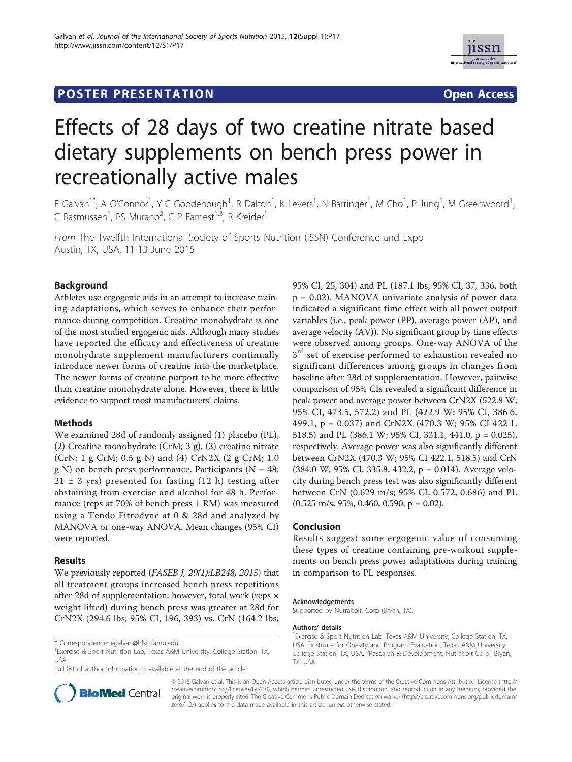# **POSTER PRESENTATION CONSUMING THE SERVICE SERVICE SERVICES**



# Effects of 28 days of two creatine nitrate based dietary supplements on bench press power in recreationally active males

E Galvan<sup>1\*</sup>, A O'Connor<sup>1</sup>, Y C Goodenough<sup>1</sup>, R Dalton<sup>1</sup>, K Levers<sup>1</sup>, N Barringer<sup>1</sup>, M Cho<sup>1</sup>, P Jung<sup>1</sup>, M Greenwoord<sup>1</sup> , C Rasmussen<sup>1</sup>, PS Murano<sup>2</sup>, C P Earnest<sup>1,3</sup>, R Kreider<sup>1</sup>

From The Twelfth International Society of Sports Nutrition (ISSN) Conference and Expo Austin, TX, USA. 11-13 June 2015

## Background

Athletes use ergogenic aids in an attempt to increase training-adaptations, which serves to enhance their performance during competition. Creatine monohydrate is one of the most studied ergogenic aids. Although many studies have reported the efficacy and effectiveness of creatine monohydrate supplement manufacturers continually introduce newer forms of creatine into the marketplace. The newer forms of creatine purport to be more effective than creatine monohydrate alone. However, there is little evidence to support most manufacturers' claims.

### Methods

We examined 28d of randomly assigned (1) placebo (PL), (2) Creatine monohydrate (CrM; 3 g), (3) creatine nitrate (CrN; 1 g CrM; 0.5 g N) and (4) CrN2X (2 g CrM; 1.0 g N) on bench press performance. Participants ( $N = 48$ ;  $21 \pm 3$  yrs) presented for fasting (12 h) testing after abstaining from exercise and alcohol for 48 h. Performance (reps at 70% of bench press 1 RM) was measured using a Tendo Fitrodyne at 0 & 28d and analyzed by MANOVA or one-way ANOVA. Mean changes (95% CI) were reported.

### Results

We previously reported (FASEB J, 29(1):LB248, 2015) that all treatment groups increased bench press repetitions after 28d of supplementation; however, total work (reps × weight lifted) during bench press was greater at 28d for CrN2X (294.6 lbs; 95% CI, 196, 393) vs. CrN (164.2 lbs;

<sup>1</sup> Exercise & Sport Nutrition Lab, Texas A&M University, College Station, TX, USA

Full list of author information is available at the end of the article



95% CI, 25, 304) and PL (187.1 lbs; 95% CI, 37, 336, both p = 0.02). MANOVA univariate analysis of power data indicated a significant time effect with all power output variables (i.e., peak power (PP), average power (AP), and average velocity (AV)). No significant group by time effects were observed among groups. One-way ANOVA of the 3<sup>rd</sup> set of exercise performed to exhaustion revealed no significant differences among groups in changes from baseline after 28d of supplementation. However, pairwise comparison of 95% CIs revealed a significant difference in peak power and average power between CrN2X (522.8 W; 95% CI, 473.5, 572.2) and PL (422.9 W; 95% CI, 386.6, 499.1, p = 0.037) and CrN2X (470.3 W; 95% CI 422.1, 518.5) and PL (386.1 W; 95% CI, 331.1, 441.0, p = 0.025), respectively. Average power was also significantly different between CrN2X (470.3 W; 95% CI 422.1, 518.5) and CrN (384.0 W; 95% CI, 335.8, 432.2, p = 0.014). Average velocity during bench press test was also significantly different between CrN (0.629 m/s; 95% CI, 0.572, 0.686) and PL  $(0.525 \text{ m/s}; 95\%, 0.460, 0.590, p = 0.02).$ 

### Conclusion

Results suggest some ergogenic value of consuming these types of creatine containing pre-workout supplements on bench press power adaptations during training in comparison to PL responses.

#### Acknowledgements

Supported by Nutrabolt, Corp (Bryan, TX).

#### Authors' details <sup>1</sup>

<sup>1</sup> Exercise & Sport Nutrition Lab, Texas A&M University, College Station, TX, USA. <sup>2</sup>Institute for Obesity and Program Evaluation, Texas A&M University College Station, TX, USA. <sup>3</sup>Research & Development, Nutrabolt Corp., Bryan, TX, USA.

© 2015 Galvan et al. This is an Open Access article distributed under the terms of the Creative Commons Attribution License (http:// creativecommons.org/licenses/by/4.0), which permits unrestricted use, distribution, and reproduction in any medium, provided the original work is properly cited. The Creative Commons Public Domain Dedication waiver (http://creativecommons.org/publicdomain/ zero/1.0/) applies to the data made available in this article, unless otherwise stated.

<sup>\*</sup> Correspondence: egalvan@hlkn.tamu.edu